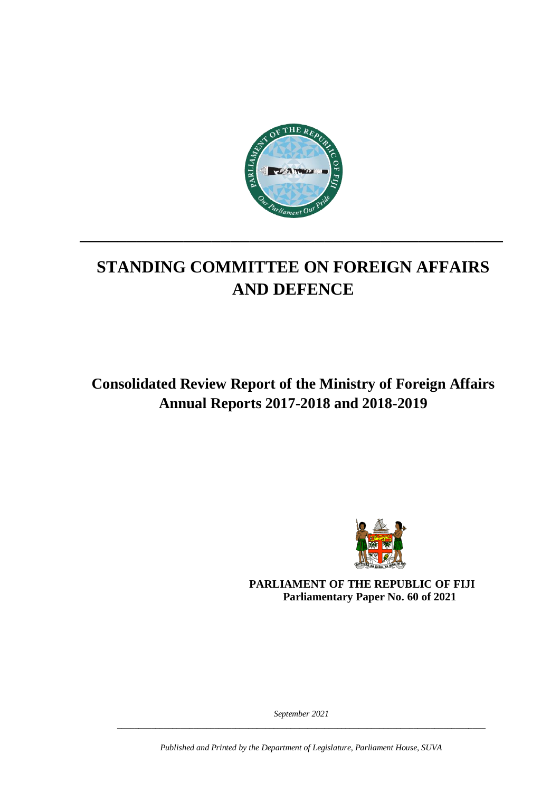

# **STANDING COMMITTEE ON FOREIGN AFFAIRS AND DEFENCE**

**\_\_\_\_\_\_\_\_\_\_\_\_\_\_\_\_\_\_\_\_\_\_\_\_\_\_\_\_\_\_\_\_\_\_\_\_\_\_\_\_\_\_\_\_\_**

**Consolidated Review Report of the Ministry of Foreign Affairs Annual Reports 2017-2018 and 2018-2019**



**PARLIAMENT OF THE REPUBLIC OF FIJI Parliamentary Paper No. 60 of 2021**

*September 2021 \_\_\_\_\_\_\_\_\_\_\_\_\_\_\_\_\_\_\_\_\_\_\_\_\_\_\_\_\_\_\_\_\_\_\_\_\_\_\_\_\_\_\_\_\_\_\_\_\_\_\_\_\_\_\_\_\_\_\_\_\_\_\_\_\_\_\_\_\_\_\_\_\_\_\_\_\_\_\_\_\_\_\_\_\_\_\_*

*Published and Printed by the Department of Legislature, Parliament House, SUVA*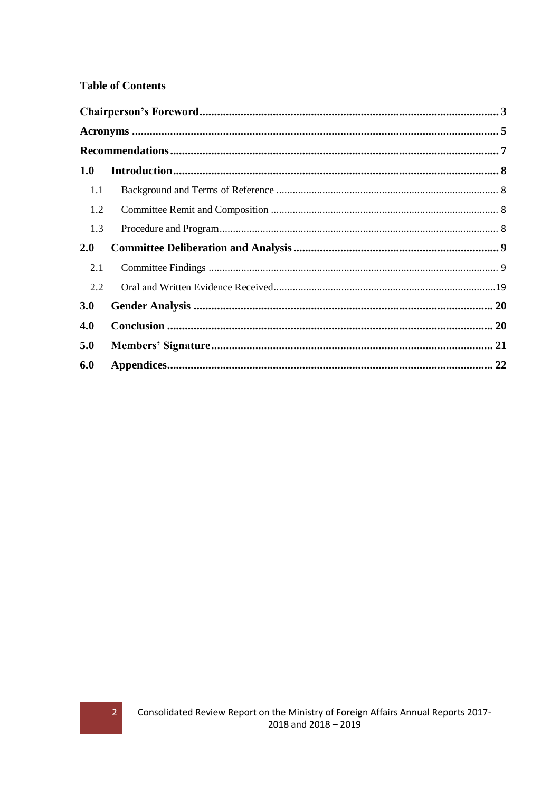### **Table of Contents**

| 1.0 |  |
|-----|--|
| 1.1 |  |
| 1.2 |  |
| 1.3 |  |
| 2.0 |  |
| 2.1 |  |
| 2.2 |  |
| 3.0 |  |
| 4.0 |  |
| 5.0 |  |
| 6.0 |  |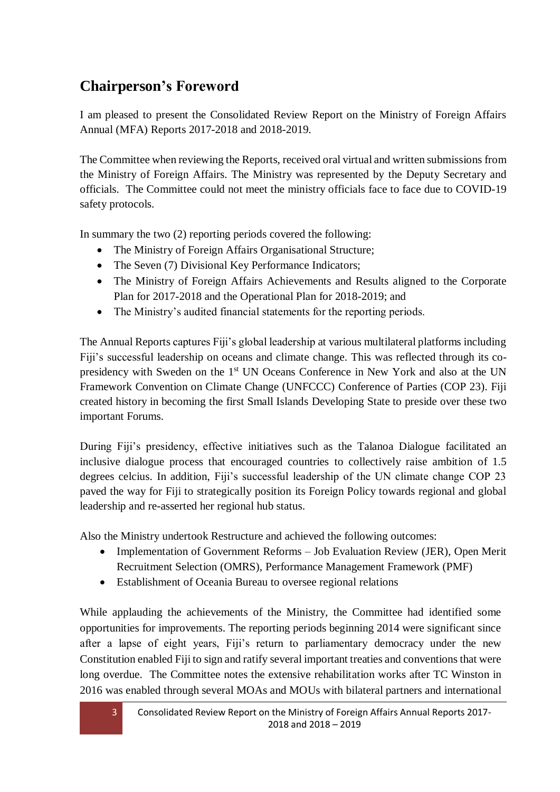## <span id="page-2-0"></span>**Chairperson's Foreword**

I am pleased to present the Consolidated Review Report on the Ministry of Foreign Affairs Annual (MFA) Reports 2017-2018 and 2018-2019.

The Committee when reviewing the Reports, received oral virtual and written submissions from the Ministry of Foreign Affairs. The Ministry was represented by the Deputy Secretary and officials. The Committee could not meet the ministry officials face to face due to COVID-19 safety protocols.

In summary the two (2) reporting periods covered the following:

- The Ministry of Foreign Affairs Organisational Structure;
- The Seven (7) Divisional Key Performance Indicators;
- The Ministry of Foreign Affairs Achievements and Results aligned to the Corporate Plan for 2017-2018 and the Operational Plan for 2018-2019; and
- The Ministry's audited financial statements for the reporting periods.

The Annual Reports captures Fiji's global leadership at various multilateral platforms including Fiji's successful leadership on oceans and climate change. This was reflected through its copresidency with Sweden on the 1<sup>st</sup> UN Oceans Conference in New York and also at the UN Framework Convention on Climate Change (UNFCCC) Conference of Parties (COP 23). Fiji created history in becoming the first Small Islands Developing State to preside over these two important Forums.

During Fiji's presidency, effective initiatives such as the Talanoa Dialogue facilitated an inclusive dialogue process that encouraged countries to collectively raise ambition of 1.5 degrees celcius. In addition, Fiji's successful leadership of the UN climate change COP 23 paved the way for Fiji to strategically position its Foreign Policy towards regional and global leadership and re-asserted her regional hub status.

Also the Ministry undertook Restructure and achieved the following outcomes:

- Implementation of Government Reforms Job Evaluation Review (JER), Open Merit Recruitment Selection (OMRS), Performance Management Framework (PMF)
- Establishment of Oceania Bureau to oversee regional relations

While applauding the achievements of the Ministry, the Committee had identified some opportunities for improvements. The reporting periods beginning 2014 were significant since after a lapse of eight years, Fiji's return to parliamentary democracy under the new Constitution enabled Fiji to sign and ratify several important treaties and conventions that were long overdue. The Committee notes the extensive rehabilitation works after TC Winston in 2016 was enabled through several MOAs and MOUs with bilateral partners and international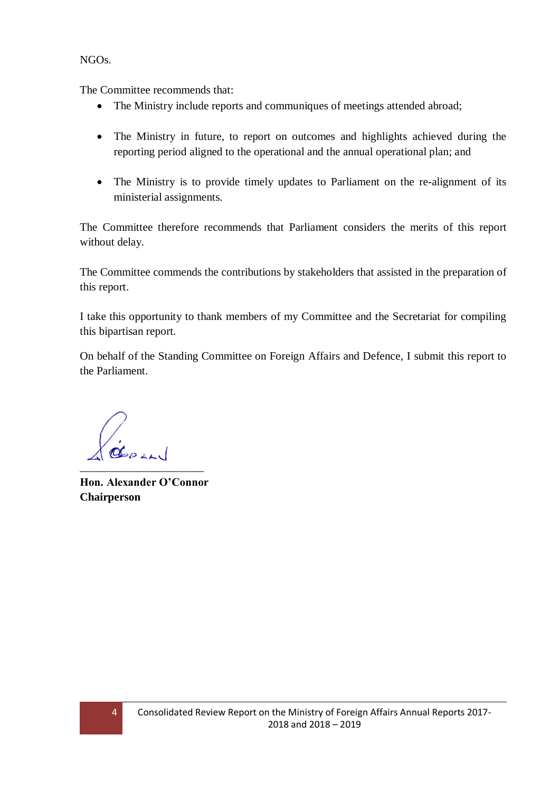NGOs.

The Committee recommends that:

- The Ministry include reports and communiques of meetings attended abroad;
- The Ministry in future, to report on outcomes and highlights achieved during the reporting period aligned to the operational and the annual operational plan; and
- The Ministry is to provide timely updates to Parliament on the re-alignment of its ministerial assignments.

The Committee therefore recommends that Parliament considers the merits of this report without delay.

The Committee commends the contributions by stakeholders that assisted in the preparation of this report.

I take this opportunity to thank members of my Committee and the Secretariat for compiling this bipartisan report.

On behalf of the Standing Committee on Foreign Affairs and Defence, I submit this report to the Parliament.

\_\_\_\_\_\_\_\_\_\_\_\_\_\_\_\_\_\_\_\_\_\_

**Hon. Alexander O'Connor Chairperson**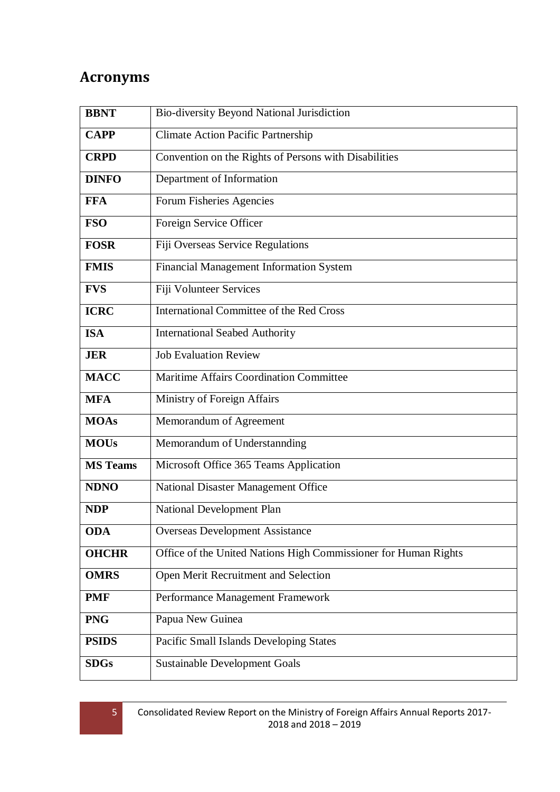## <span id="page-4-0"></span>**Acronyms**

| <b>BBNT</b>     | Bio-diversity Beyond National Jurisdiction                      |  |  |
|-----------------|-----------------------------------------------------------------|--|--|
| <b>CAPP</b>     | <b>Climate Action Pacific Partnership</b>                       |  |  |
| <b>CRPD</b>     | Convention on the Rights of Persons with Disabilities           |  |  |
| <b>DINFO</b>    | Department of Information                                       |  |  |
| <b>FFA</b>      | Forum Fisheries Agencies                                        |  |  |
| <b>FSO</b>      | Foreign Service Officer                                         |  |  |
| <b>FOSR</b>     | Fiji Overseas Service Regulations                               |  |  |
| <b>FMIS</b>     | Financial Management Information System                         |  |  |
| <b>FVS</b>      | Fiji Volunteer Services                                         |  |  |
| <b>ICRC</b>     | International Committee of the Red Cross                        |  |  |
| <b>ISA</b>      | <b>International Seabed Authority</b>                           |  |  |
| <b>JER</b>      | <b>Job Evaluation Review</b>                                    |  |  |
| <b>MACC</b>     | <b>Maritime Affairs Coordination Committee</b>                  |  |  |
| <b>MFA</b>      | Ministry of Foreign Affairs                                     |  |  |
| <b>MOAs</b>     | Memorandum of Agreement                                         |  |  |
| <b>MOUs</b>     | Memorandum of Understannding                                    |  |  |
| <b>MS Teams</b> | Microsoft Office 365 Teams Application                          |  |  |
| <b>NDNO</b>     | National Disaster Management Office                             |  |  |
| <b>NDP</b>      | National Development Plan                                       |  |  |
| <b>ODA</b>      | <b>Overseas Development Assistance</b>                          |  |  |
| <b>OHCHR</b>    | Office of the United Nations High Commissioner for Human Rights |  |  |
| <b>OMRS</b>     | Open Merit Recruitment and Selection                            |  |  |
| <b>PMF</b>      | Performance Management Framework                                |  |  |
| <b>PNG</b>      | Papua New Guinea                                                |  |  |
| <b>PSIDS</b>    | Pacific Small Islands Developing States                         |  |  |
| <b>SDGs</b>     | <b>Sustainable Development Goals</b>                            |  |  |

5 Consolidated Review Report on the Ministry of Foreign Affairs Annual Reports 2017- 2018 and 2018 – 2019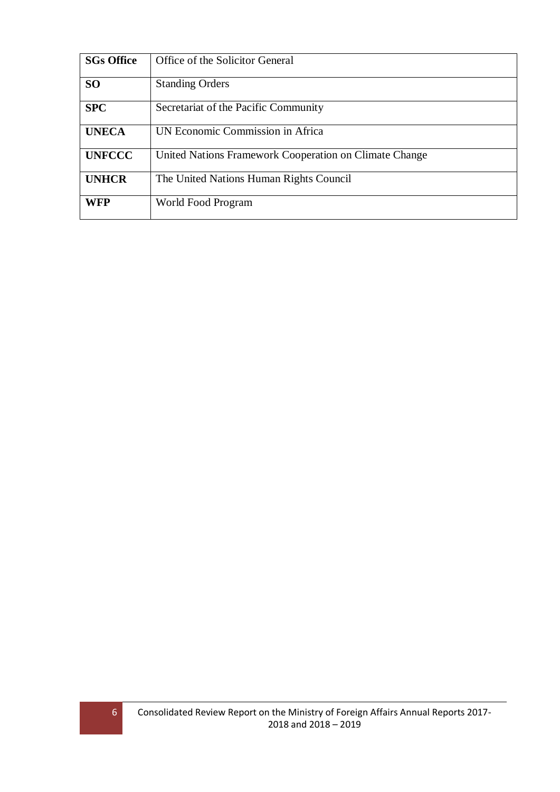| <b>SGs Office</b> | Office of the Solicitor General                        |
|-------------------|--------------------------------------------------------|
| <b>SO</b>         | <b>Standing Orders</b>                                 |
| <b>SPC</b>        | Secretariat of the Pacific Community                   |
| <b>UNECA</b>      | UN Economic Commission in Africa                       |
| <b>UNFCCC</b>     | United Nations Framework Cooperation on Climate Change |
| <b>UNHCR</b>      | The United Nations Human Rights Council                |
| <b>WFP</b>        | World Food Program                                     |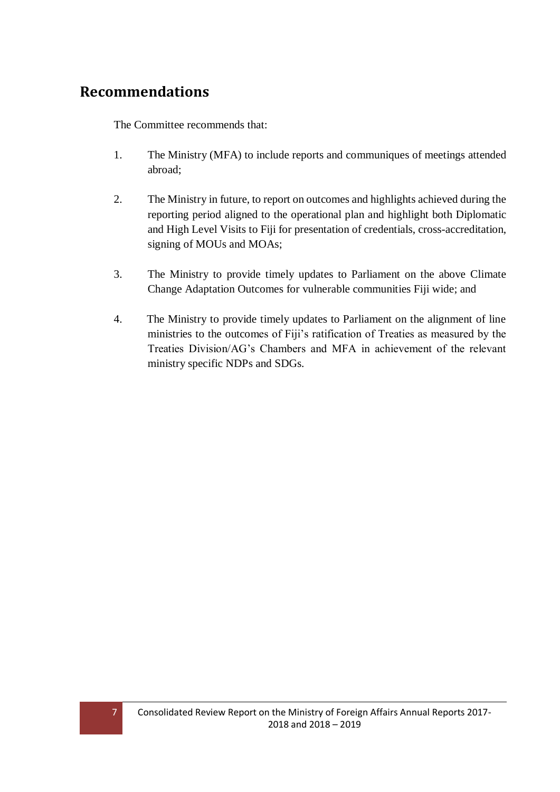## <span id="page-6-0"></span>**Recommendations**

The Committee recommends that:

- 1. The Ministry (MFA) to include reports and communiques of meetings attended abroad;
- 2. The Ministry in future, to report on outcomes and highlights achieved during the reporting period aligned to the operational plan and highlight both Diplomatic and High Level Visits to Fiji for presentation of credentials, cross-accreditation, signing of MOUs and MOAs;
- 3. The Ministry to provide timely updates to Parliament on the above Climate Change Adaptation Outcomes for vulnerable communities Fiji wide; and
- 4. The Ministry to provide timely updates to Parliament on the alignment of line ministries to the outcomes of Fiji's ratification of Treaties as measured by the Treaties Division/AG's Chambers and MFA in achievement of the relevant ministry specific NDPs and SDGs.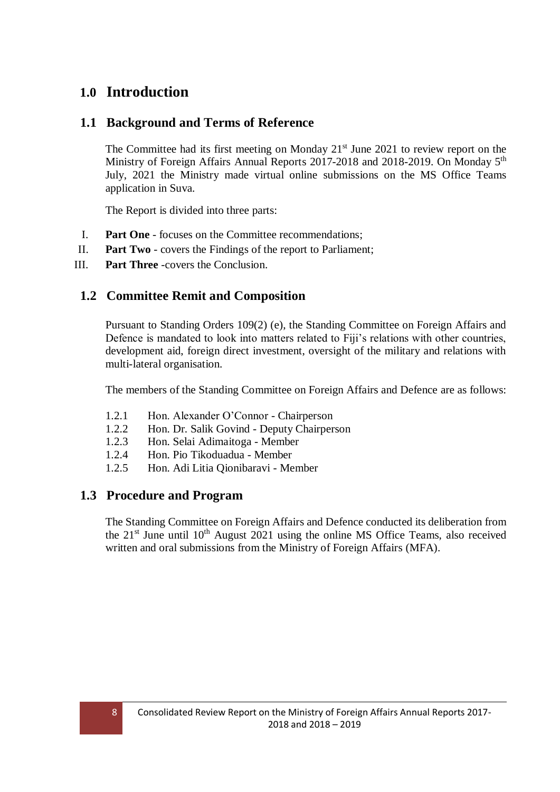## <span id="page-7-0"></span>**1.0 Introduction**

### <span id="page-7-1"></span>**1.1 Background and Terms of Reference**

The Committee had its first meeting on Monday  $21<sup>st</sup>$  June 2021 to review report on the Ministry of Foreign Affairs Annual Reports 2017-2018 and 2018-2019. On Monday 5<sup>th</sup> July, 2021 the Ministry made virtual online submissions on the MS Office Teams application in Suva.

The Report is divided into three parts:

- I. **Part One** focuses on the Committee recommendations;
- II. **Part Two** covers the Findings of the report to Parliament;
- III. **Part Three** -covers the Conclusion.

### <span id="page-7-2"></span>**1.2 Committee Remit and Composition**

Pursuant to Standing Orders 109(2) (e), the Standing Committee on Foreign Affairs and Defence is mandated to look into matters related to Fiji's relations with other countries, development aid, foreign direct investment, oversight of the military and relations with multi-lateral organisation.

The members of the Standing Committee on Foreign Affairs and Defence are as follows:

- 1.2.1 Hon. Alexander O'Connor Chairperson
- 1.2.2 Hon. Dr. Salik Govind Deputy Chairperson
- 1.2.3 Hon. Selai Adimaitoga Member
- 1.2.4 Hon. Pio Tikoduadua Member
- 1.2.5 Hon. Adi Litia Qionibaravi Member

#### <span id="page-7-3"></span>**1.3 Procedure and Program**

The Standing Committee on Foreign Affairs and Defence conducted its deliberation from the  $21<sup>st</sup>$  June until  $10<sup>th</sup>$  August  $2021$  using the online MS Office Teams, also received written and oral submissions from the Ministry of Foreign Affairs (MFA).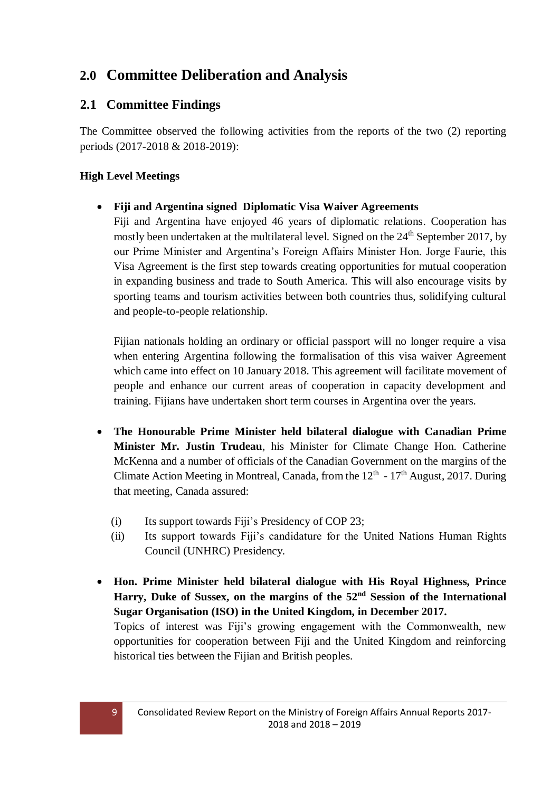## <span id="page-8-0"></span>**2.0 Committee Deliberation and Analysis**

## <span id="page-8-1"></span>**2.1 Committee Findings**

The Committee observed the following activities from the reports of the two (2) reporting periods (2017-2018 & 2018-2019):

### **High Level Meetings**

### **Fiji and Argentina signed Diplomatic Visa Waiver Agreements**

Fiji and Argentina have enjoyed 46 years of diplomatic relations. Cooperation has mostly been undertaken at the multilateral level. Signed on the  $24<sup>th</sup>$  September 2017, by our Prime Minister and Argentina's Foreign Affairs Minister Hon. Jorge Faurie, this Visa Agreement is the first step towards creating opportunities for mutual cooperation in expanding business and trade to South America. This will also encourage visits by sporting teams and tourism activities between both countries thus, solidifying cultural and people-to-people relationship.

Fijian nationals holding an ordinary or official passport will no longer require a visa when entering Argentina following the formalisation of this visa waiver Agreement which came into effect on 10 January 2018. This agreement will facilitate movement of people and enhance our current areas of cooperation in capacity development and training. Fijians have undertaken short term courses in Argentina over the years.

- **The Honourable Prime Minister held bilateral dialogue with Canadian Prime Minister Mr. Justin Trudeau**, his Minister for Climate Change Hon. Catherine McKenna and a number of officials of the Canadian Government on the margins of the Climate Action Meeting in Montreal, Canada, from the  $12<sup>th</sup> - 17<sup>th</sup>$  August, 2017. During that meeting, Canada assured:
	- (i) Its support towards Fiji's Presidency of COP 23;
	- (ii) Its support towards Fiji's candidature for the United Nations Human Rights Council (UNHRC) Presidency.
- **Hon. Prime Minister held bilateral dialogue with His Royal Highness, Prince Harry, Duke of Sussex, on the margins of the 52nd Session of the International Sugar Organisation (ISO) in the United Kingdom, in December 2017.**

Topics of interest was Fiji's growing engagement with the Commonwealth, new opportunities for cooperation between Fiji and the United Kingdom and reinforcing historical ties between the Fijian and British peoples.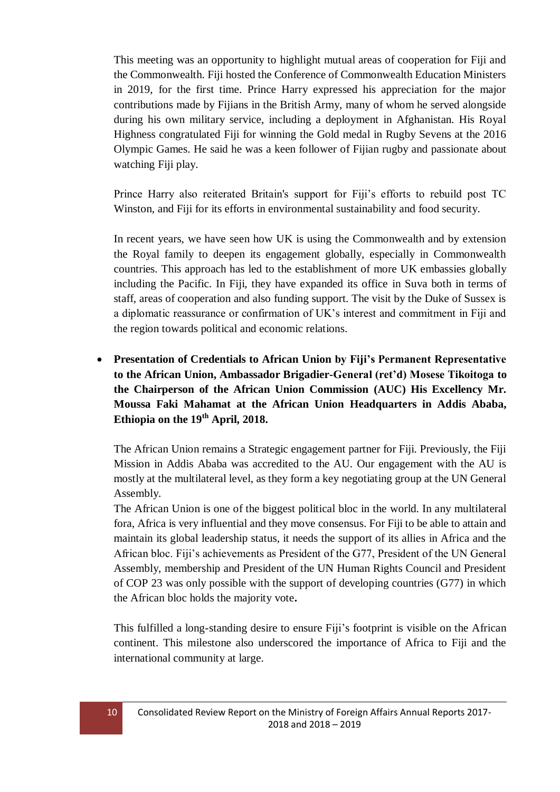This meeting was an opportunity to highlight mutual areas of cooperation for Fiji and the Commonwealth. Fiji hosted the Conference of Commonwealth Education Ministers in 2019, for the first time. Prince Harry expressed his appreciation for the major contributions made by Fijians in the British Army, many of whom he served alongside during his own military service, including a deployment in Afghanistan. His Royal Highness congratulated Fiji for winning the Gold medal in Rugby Sevens at the 2016 Olympic Games. He said he was a keen follower of Fijian rugby and passionate about watching Fiji play.

Prince Harry also reiterated Britain's support for Fiji's efforts to rebuild post TC Winston, and Fiji for its efforts in environmental sustainability and food security.

In recent years, we have seen how UK is using the Commonwealth and by extension the Royal family to deepen its engagement globally, especially in Commonwealth countries. This approach has led to the establishment of more UK embassies globally including the Pacific. In Fiji, they have expanded its office in Suva both in terms of staff, areas of cooperation and also funding support. The visit by the Duke of Sussex is a diplomatic reassurance or confirmation of UK's interest and commitment in Fiji and the region towards political and economic relations.

 **Presentation of Credentials to African Union by Fiji's Permanent Representative to the African Union, Ambassador Brigadier-General (ret'd) Mosese Tikoitoga to the Chairperson of the African Union Commission (AUC) His Excellency Mr. Moussa Faki Mahamat at the African Union Headquarters in Addis Ababa, Ethiopia on the 19th April, 2018.**

The African Union remains a Strategic engagement partner for Fiji. Previously, the Fiji Mission in Addis Ababa was accredited to the AU. Our engagement with the AU is mostly at the multilateral level, as they form a key negotiating group at the UN General Assembly.

The African Union is one of the biggest political bloc in the world. In any multilateral fora, Africa is very influential and they move consensus. For Fiji to be able to attain and maintain its global leadership status, it needs the support of its allies in Africa and the African bloc. Fiji's achievements as President of the G77, President of the UN General Assembly, membership and President of the UN Human Rights Council and President of COP 23 was only possible with the support of developing countries (G77) in which the African bloc holds the majority vote**.**

This fulfilled a long-standing desire to ensure Fiji's footprint is visible on the African continent. This milestone also underscored the importance of Africa to Fiji and the international community at large.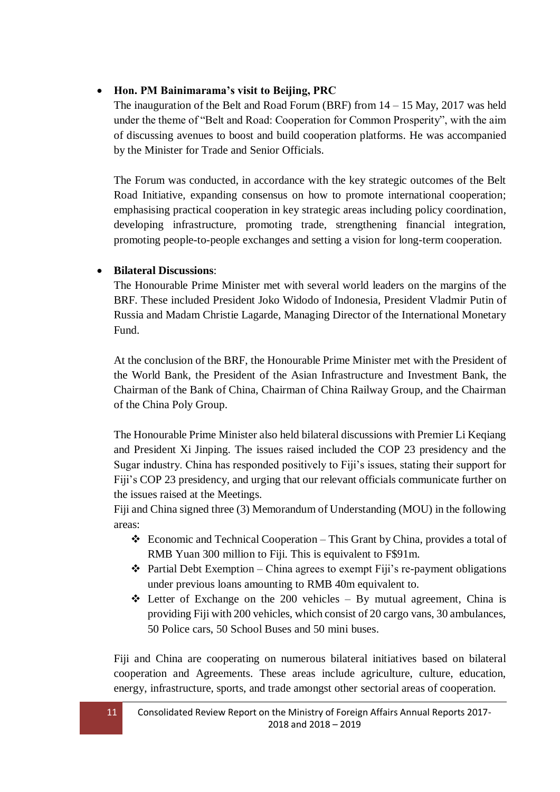#### **Hon. PM Bainimarama's visit to Beijing, PRC**

The inauguration of the Belt and Road Forum (BRF) from  $14 - 15$  May, 2017 was held under the theme of "Belt and Road: Cooperation for Common Prosperity", with the aim of discussing avenues to boost and build cooperation platforms. He was accompanied by the Minister for Trade and Senior Officials.

The Forum was conducted, in accordance with the key strategic outcomes of the Belt Road Initiative, expanding consensus on how to promote international cooperation; emphasising practical cooperation in key strategic areas including policy coordination, developing infrastructure, promoting trade, strengthening financial integration, promoting people-to-people exchanges and setting a vision for long-term cooperation.

#### **Bilateral Discussions**:

The Honourable Prime Minister met with several world leaders on the margins of the BRF. These included President Joko Widodo of Indonesia, President Vladmir Putin of Russia and Madam Christie Lagarde, Managing Director of the International Monetary Fund.

At the conclusion of the BRF, the Honourable Prime Minister met with the President of the World Bank, the President of the Asian Infrastructure and Investment Bank, the Chairman of the Bank of China, Chairman of China Railway Group, and the Chairman of the China Poly Group.

The Honourable Prime Minister also held bilateral discussions with Premier Li Keqiang and President Xi Jinping. The issues raised included the COP 23 presidency and the Sugar industry. China has responded positively to Fiji's issues, stating their support for Fiji's COP 23 presidency, and urging that our relevant officials communicate further on the issues raised at the Meetings.

Fiji and China signed three (3) Memorandum of Understanding (MOU) in the following areas:

- Economic and Technical Cooperation This Grant by China, provides a total of RMB Yuan 300 million to Fiji. This is equivalent to F\$91m.
- $\triangle$  Partial Debt Exemption China agrees to exempt Fiji's re-payment obligations under previous loans amounting to RMB 40m equivalent to.
- $\triangleleft$  Letter of Exchange on the 200 vehicles By mutual agreement, China is providing Fiji with 200 vehicles, which consist of 20 cargo vans, 30 ambulances, 50 Police cars, 50 School Buses and 50 mini buses.

Fiji and China are cooperating on numerous bilateral initiatives based on bilateral cooperation and Agreements. These areas include agriculture, culture, education, energy, infrastructure, sports, and trade amongst other sectorial areas of cooperation.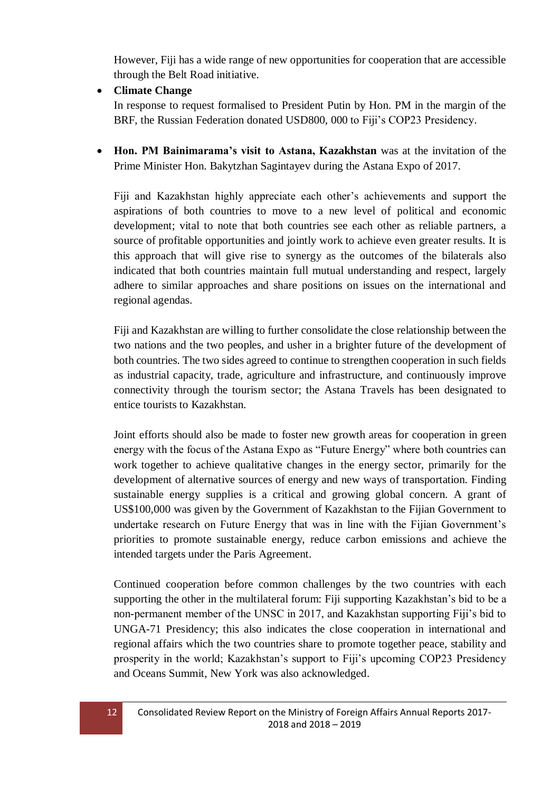However, Fiji has a wide range of new opportunities for cooperation that are accessible through the Belt Road initiative.

**Climate Change**

In response to request formalised to President Putin by Hon. PM in the margin of the BRF, the Russian Federation donated USD800, 000 to Fiji's COP23 Presidency.

 **Hon. PM Bainimarama's visit to Astana, Kazakhstan** was at the invitation of the Prime Minister Hon. Bakytzhan Sagintayev during the Astana Expo of 2017.

Fiji and Kazakhstan highly appreciate each other's achievements and support the aspirations of both countries to move to a new level of political and economic development; vital to note that both countries see each other as reliable partners, a source of profitable opportunities and jointly work to achieve even greater results. It is this approach that will give rise to synergy as the outcomes of the bilaterals also indicated that both countries maintain full mutual understanding and respect, largely adhere to similar approaches and share positions on issues on the international and regional agendas.

Fiji and Kazakhstan are willing to further consolidate the close relationship between the two nations and the two peoples, and usher in a brighter future of the development of both countries. The two sides agreed to continue to strengthen cooperation in such fields as industrial capacity, trade, agriculture and infrastructure, and continuously improve connectivity through the tourism sector; the Astana Travels has been designated to entice tourists to Kazakhstan.

Joint efforts should also be made to foster new growth areas for cooperation in green energy with the focus of the Astana Expo as "Future Energy" where both countries can work together to achieve qualitative changes in the energy sector, primarily for the development of alternative sources of energy and new ways of transportation. Finding sustainable energy supplies is a critical and growing global concern. A grant of US\$100,000 was given by the Government of Kazakhstan to the Fijian Government to undertake research on Future Energy that was in line with the Fijian Government's priorities to promote sustainable energy, reduce carbon emissions and achieve the intended targets under the Paris Agreement.

Continued cooperation before common challenges by the two countries with each supporting the other in the multilateral forum: Fiji supporting Kazakhstan's bid to be a non-permanent member of the UNSC in 2017, and Kazakhstan supporting Fiji's bid to UNGA-71 Presidency; this also indicates the close cooperation in international and regional affairs which the two countries share to promote together peace, stability and prosperity in the world; Kazakhstan's support to Fiji's upcoming COP23 Presidency and Oceans Summit, New York was also acknowledged.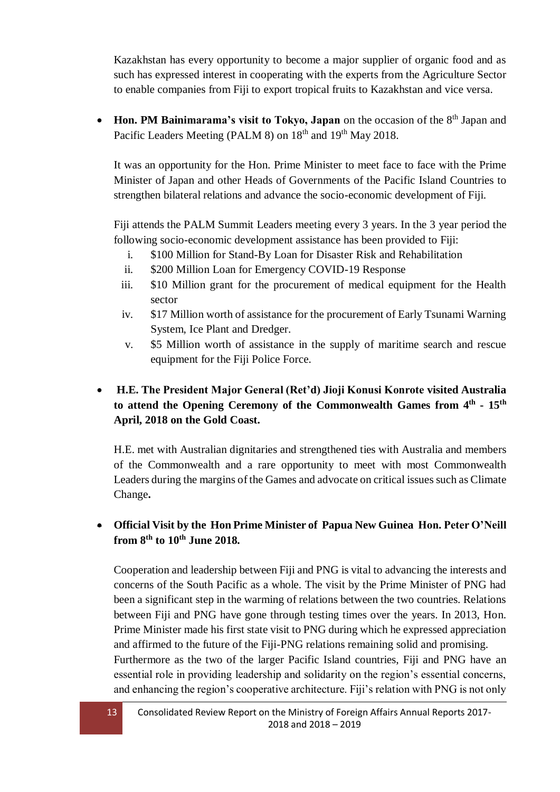Kazakhstan has every opportunity to become a major supplier of organic food and as such has expressed interest in cooperating with the experts from the Agriculture Sector to enable companies from Fiji to export tropical fruits to Kazakhstan and vice versa.

• Hon. PM Bainimarama's visit to Tokyo, Japan on the occasion of the 8<sup>th</sup> Japan and Pacific Leaders Meeting (PALM 8) on 18<sup>th</sup> and 19<sup>th</sup> May 2018.

It was an opportunity for the Hon. Prime Minister to meet face to face with the Prime Minister of Japan and other Heads of Governments of the Pacific Island Countries to strengthen bilateral relations and advance the socio-economic development of Fiji.

Fiji attends the PALM Summit Leaders meeting every 3 years. In the 3 year period the following socio-economic development assistance has been provided to Fiji:

- i. \$100 Million for Stand-By Loan for Disaster Risk and Rehabilitation
- ii. \$200 Million Loan for Emergency COVID-19 Response
- iii. \$10 Million grant for the procurement of medical equipment for the Health sector
- iv. \$17 Million worth of assistance for the procurement of Early Tsunami Warning System, Ice Plant and Dredger.
- v. \$5 Million worth of assistance in the supply of maritime search and rescue equipment for the Fiji Police Force.

## **H.E. The President Major General (Ret'd) Jioji Konusi Konrote visited Australia to attend the Opening Ceremony of the Commonwealth Games from 4 th - 15th April, 2018 on the Gold Coast.**

H.E. met with Australian dignitaries and strengthened ties with Australia and members of the Commonwealth and a rare opportunity to meet with most Commonwealth Leaders during the margins of the Games and advocate on critical issues such as Climate Change**.**

## **Official Visit by the Hon Prime Minister of Papua New Guinea Hon. Peter O'Neill from 8th to 10th June 2018.**

Cooperation and leadership between Fiji and PNG is vital to advancing the interests and concerns of the South Pacific as a whole. The visit by the Prime Minister of PNG had been a significant step in the warming of relations between the two countries. Relations between Fiji and PNG have gone through testing times over the years. In 2013, Hon. Prime Minister made his first state visit to PNG during which he expressed appreciation and affirmed to the future of the Fiji-PNG relations remaining solid and promising. Furthermore as the two of the larger Pacific Island countries, Fiji and PNG have an essential role in providing leadership and solidarity on the region's essential concerns, and enhancing the region's cooperative architecture. Fiji's relation with PNG is not only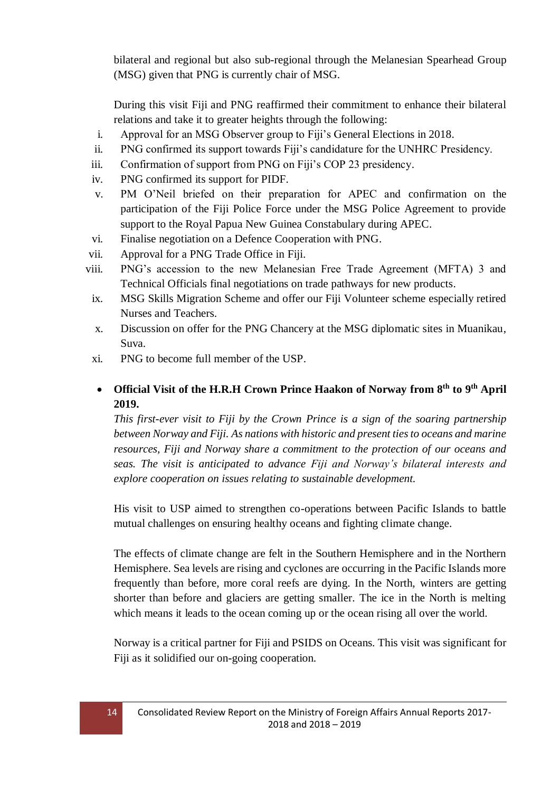bilateral and regional but also sub-regional through the Melanesian Spearhead Group (MSG) given that PNG is currently chair of MSG.

During this visit Fiji and PNG reaffirmed their commitment to enhance their bilateral relations and take it to greater heights through the following:

- i. Approval for an MSG Observer group to Fiji's General Elections in 2018.
- ii. PNG confirmed its support towards Fiji's candidature for the UNHRC Presidency.
- iii. Confirmation of support from PNG on Fiji's COP 23 presidency.
- iv. PNG confirmed its support for PIDF.
- v. PM O'Neil briefed on their preparation for APEC and confirmation on the participation of the Fiji Police Force under the MSG Police Agreement to provide support to the Royal Papua New Guinea Constabulary during APEC.
- vi. Finalise negotiation on a Defence Cooperation with PNG.
- vii. Approval for a PNG Trade Office in Fiji.
- viii. PNG's accession to the new Melanesian Free Trade Agreement (MFTA) 3 and Technical Officials final negotiations on trade pathways for new products.
- ix. MSG Skills Migration Scheme and offer our Fiji Volunteer scheme especially retired Nurses and Teachers.
- x. Discussion on offer for the PNG Chancery at the MSG diplomatic sites in Muanikau, Suva.
- xi. PNG to become full member of the USP.

## **Official Visit of the H.R.H Crown Prince Haakon of Norway from 8th to 9th April 2019.**

*This first-ever visit to Fiji by the Crown Prince is a sign of the soaring partnership between Norway and Fiji. As nations with historic and present ties to oceans and marine resources, Fiji and Norway share a commitment to the protection of our oceans and seas. The visit is anticipated to advance Fiji and Norway's bilateral interests and explore cooperation on issues relating to sustainable development.*

His visit to USP aimed to strengthen co-operations between Pacific Islands to battle mutual challenges on ensuring healthy oceans and fighting climate change.

The effects of climate change are felt in the Southern Hemisphere and in the Northern Hemisphere. Sea levels are rising and cyclones are occurring in the Pacific Islands more frequently than before, more coral reefs are dying. In the North, winters are getting shorter than before and glaciers are getting smaller. The ice in the North is melting which means it leads to the ocean coming up or the ocean rising all over the world.

Norway is a critical partner for Fiji and PSIDS on Oceans. This visit was significant for Fiji as it solidified our on-going cooperation.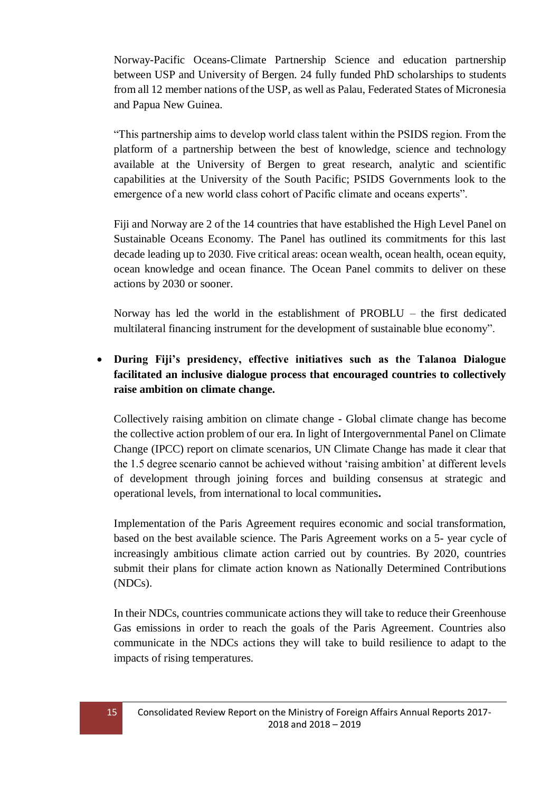Norway-Pacific Oceans-Climate Partnership Science and education partnership between USP and University of Bergen. 24 fully funded PhD scholarships to students from all 12 member nations of the USP, as well as Palau, Federated States of Micronesia and Papua New Guinea.

"This partnership aims to develop world class talent within the PSIDS region. From the platform of a partnership between the best of knowledge, science and technology available at the University of Bergen to great research, analytic and scientific capabilities at the University of the South Pacific; PSIDS Governments look to the emergence of a new world class cohort of Pacific climate and oceans experts".

Fiji and Norway are 2 of the 14 countries that have established the High Level Panel on Sustainable Oceans Economy. The Panel has outlined its commitments for this last decade leading up to 2030. Five critical areas: ocean wealth, ocean health, ocean equity, ocean knowledge and ocean finance. The Ocean Panel commits to deliver on these actions by 2030 or sooner.

Norway has led the world in the establishment of PROBLU – the first dedicated multilateral financing instrument for the development of sustainable blue economy".

## **During Fiji's presidency, effective initiatives such as the Talanoa Dialogue facilitated an inclusive dialogue process that encouraged countries to collectively raise ambition on climate change.**

Collectively raising ambition on climate change - Global climate change has become the collective action problem of our era. In light of Intergovernmental Panel on Climate Change (IPCC) report on climate scenarios, UN Climate Change has made it clear that the 1.5 degree scenario cannot be achieved without 'raising ambition' at different levels of development through joining forces and building consensus at strategic and operational levels, from international to local communities**.**

Implementation of the Paris Agreement requires economic and social transformation, based on the best available science. The Paris Agreement works on a 5- year cycle of increasingly ambitious climate action carried out by countries. By 2020, countries submit their plans for climate action known as Nationally Determined Contributions (NDCs).

In their NDCs, countries communicate actions they will take to reduce their Greenhouse Gas emissions in order to reach the goals of the Paris Agreement. Countries also communicate in the NDCs actions they will take to build resilience to adapt to the impacts of rising temperatures.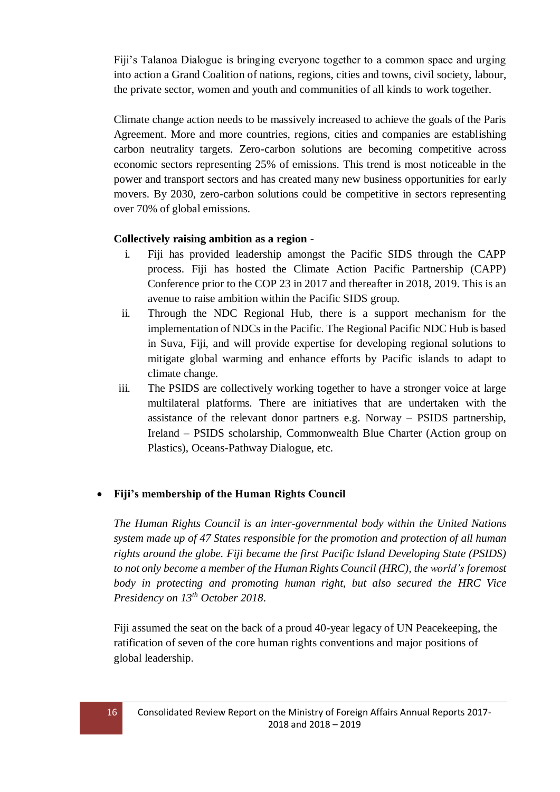Fiji's Talanoa Dialogue is bringing everyone together to a common space and urging into action a Grand Coalition of nations, regions, cities and towns, civil society, labour, the private sector, women and youth and communities of all kinds to work together.

Climate change action needs to be massively increased to achieve the goals of the Paris Agreement. More and more countries, regions, cities and companies are establishing carbon neutrality targets. Zero-carbon solutions are becoming competitive across economic sectors representing 25% of emissions. This trend is most noticeable in the power and transport sectors and has created many new business opportunities for early movers. By 2030, zero-carbon solutions could be competitive in sectors representing over 70% of global emissions.

#### **Collectively raising ambition as a region** -

- i. Fiji has provided leadership amongst the Pacific SIDS through the CAPP process. Fiji has hosted the Climate Action Pacific Partnership (CAPP) Conference prior to the COP 23 in 2017 and thereafter in 2018, 2019. This is an avenue to raise ambition within the Pacific SIDS group.
- ii. Through the NDC Regional Hub, there is a support mechanism for the implementation of NDCs in the Pacific. The Regional Pacific NDC Hub is based in Suva, Fiji, and will provide expertise for developing regional solutions to mitigate global warming and enhance efforts by Pacific islands to adapt to climate change.
- iii. The PSIDS are collectively working together to have a stronger voice at large multilateral platforms. There are initiatives that are undertaken with the assistance of the relevant donor partners e.g. Norway – PSIDS partnership, Ireland – PSIDS scholarship, Commonwealth Blue Charter (Action group on Plastics), Oceans-Pathway Dialogue, etc.

#### **Fiji's membership of the Human Rights Council**

*The Human Rights Council is an inter-governmental body within the United Nations system made up of 47 States responsible for the promotion and protection of all human rights around the globe. Fiji became the first Pacific Island Developing State (PSIDS) to not only become a member of the Human Rights Council (HRC), the world's foremost body in protecting and promoting human right, but also secured the HRC Vice Presidency on 13th October 2018*.

Fiji assumed the seat on the back of a proud 40-year legacy of UN Peacekeeping, the ratification of seven of the core human rights conventions and major positions of global leadership.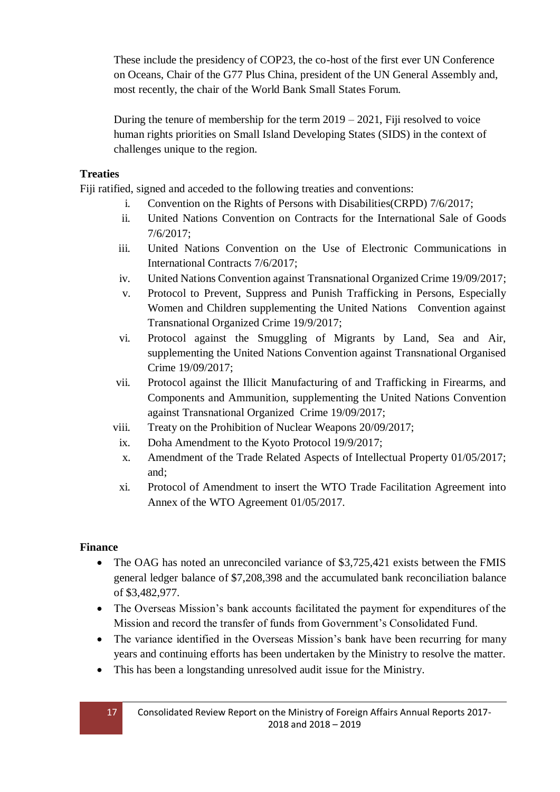These include the presidency of COP23, the co-host of the first ever UN Conference on Oceans, Chair of the G77 Plus China, president of the UN General Assembly and, most recently, the chair of the World Bank Small States Forum.

During the tenure of membership for the term  $2019 - 2021$ , Fiji resolved to voice human rights priorities on Small Island Developing States (SIDS) in the context of challenges unique to the region.

#### **Treaties**

Fiji ratified, signed and acceded to the following treaties and conventions:

- i. Convention on the Rights of Persons with Disabilities(CRPD) 7/6/2017;
- ii. United Nations Convention on Contracts for the International Sale of Goods 7/6/2017;
- iii. United Nations Convention on the Use of Electronic Communications in International Contracts 7/6/2017;
- iv. United Nations Convention against Transnational Organized Crime 19/09/2017;
- v. Protocol to Prevent, Suppress and Punish Trafficking in Persons, Especially Women and Children supplementing the United Nations Convention against Transnational Organized Crime 19/9/2017;
- vi. Protocol against the Smuggling of Migrants by Land, Sea and Air, supplementing the United Nations Convention against Transnational Organised Crime 19/09/2017;
- vii. Protocol against the Illicit Manufacturing of and Trafficking in Firearms, and Components and Ammunition, supplementing the United Nations Convention against Transnational Organized Crime 19/09/2017;
- viii. Treaty on the Prohibition of Nuclear Weapons 20/09/2017;
	- ix. Doha Amendment to the Kyoto Protocol 19/9/2017;
	- x. Amendment of the Trade Related Aspects of Intellectual Property 01/05/2017; and;
	- xi. Protocol of Amendment to insert the WTO Trade Facilitation Agreement into Annex of the WTO Agreement 01/05/2017.

## **Finance**

- The OAG has noted an unreconciled variance of \$3,725,421 exists between the FMIS general ledger balance of \$7,208,398 and the accumulated bank reconciliation balance of \$3,482,977.
- The Overseas Mission's bank accounts facilitated the payment for expenditures of the Mission and record the transfer of funds from Government's Consolidated Fund.
- The variance identified in the Overseas Mission's bank have been recurring for many years and continuing efforts has been undertaken by the Ministry to resolve the matter.
- This has been a longstanding unresolved audit issue for the Ministry.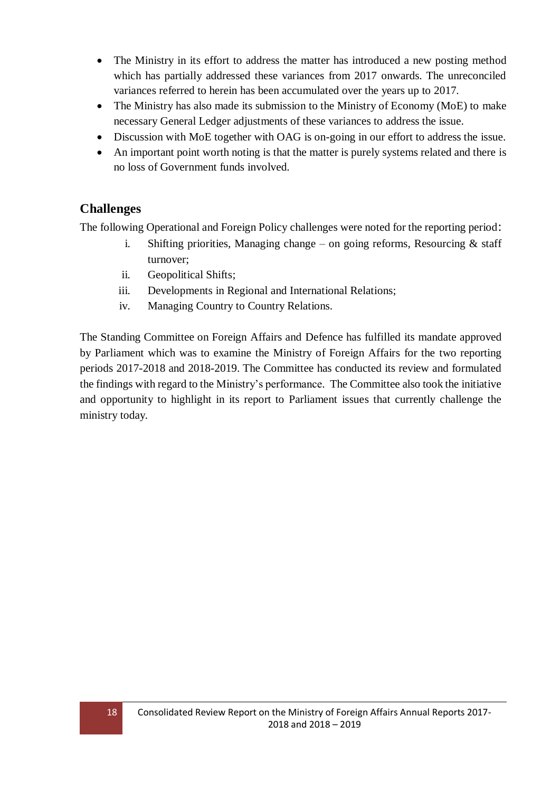- The Ministry in its effort to address the matter has introduced a new posting method which has partially addressed these variances from 2017 onwards. The unreconciled variances referred to herein has been accumulated over the years up to 2017.
- The Ministry has also made its submission to the Ministry of Economy (MoE) to make necessary General Ledger adjustments of these variances to address the issue.
- Discussion with MoE together with OAG is on-going in our effort to address the issue.
- An important point worth noting is that the matter is purely systems related and there is no loss of Government funds involved.

## **Challenges**

The following Operational and Foreign Policy challenges were noted for the reporting period:

- i. Shifting priorities, Managing change on going reforms, Resourcing  $\&$  staff turnover;
- ii. Geopolitical Shifts;
- iii. Developments in Regional and International Relations;
- iv. Managing Country to Country Relations.

The Standing Committee on Foreign Affairs and Defence has fulfilled its mandate approved by Parliament which was to examine the Ministry of Foreign Affairs for the two reporting periods 2017-2018 and 2018-2019. The Committee has conducted its review and formulated the findings with regard to the Ministry's performance. The Committee also took the initiative and opportunity to highlight in its report to Parliament issues that currently challenge the ministry today.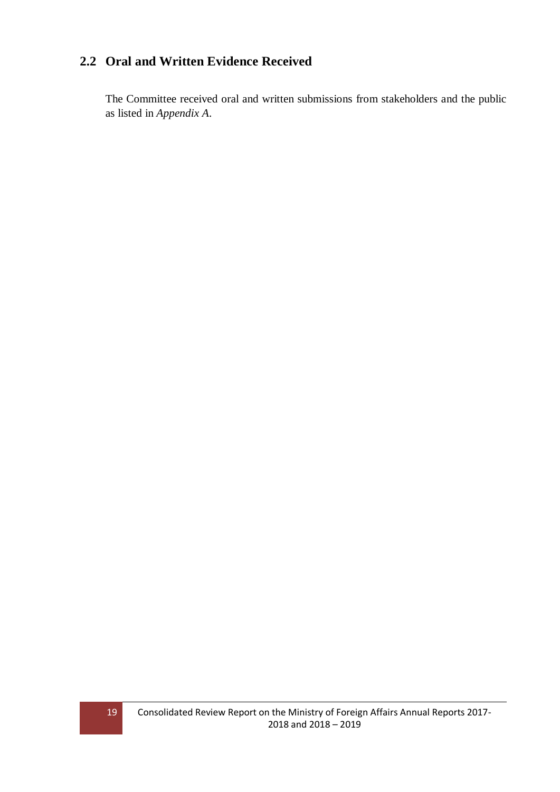## <span id="page-18-0"></span>**2.2 Oral and Written Evidence Received**

The Committee received oral and written submissions from stakeholders and the public as listed in *Appendix A*.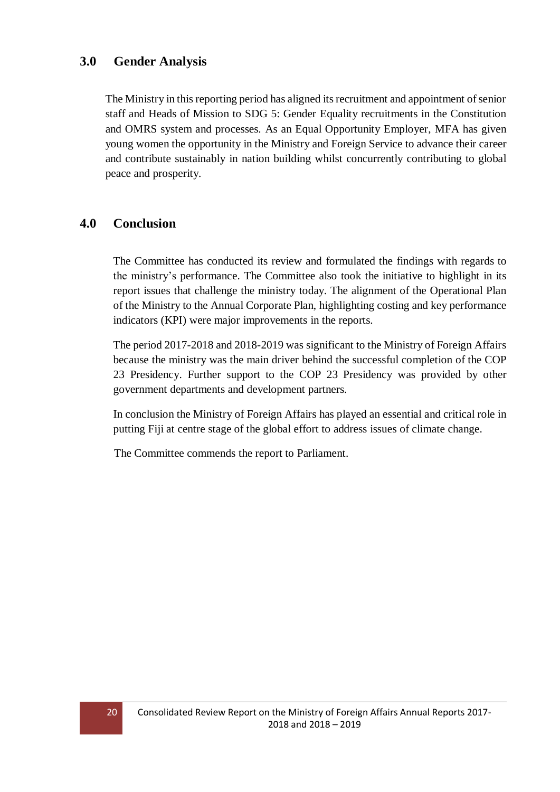### <span id="page-19-0"></span>**3.0 Gender Analysis**

The Ministry in this reporting period has aligned its recruitment and appointment of senior staff and Heads of Mission to SDG 5: Gender Equality recruitments in the Constitution and OMRS system and processes. As an Equal Opportunity Employer, MFA has given young women the opportunity in the Ministry and Foreign Service to advance their career and contribute sustainably in nation building whilst concurrently contributing to global peace and prosperity.

### <span id="page-19-1"></span>**4.0 Conclusion**

The Committee has conducted its review and formulated the findings with regards to the ministry's performance. The Committee also took the initiative to highlight in its report issues that challenge the ministry today. The alignment of the Operational Plan of the Ministry to the Annual Corporate Plan, highlighting costing and key performance indicators (KPI) were major improvements in the reports.

The period 2017-2018 and 2018-2019 was significant to the Ministry of Foreign Affairs because the ministry was the main driver behind the successful completion of the COP 23 Presidency. Further support to the COP 23 Presidency was provided by other government departments and development partners.

In conclusion the Ministry of Foreign Affairs has played an essential and critical role in putting Fiji at centre stage of the global effort to address issues of climate change.

The Committee commends the report to Parliament.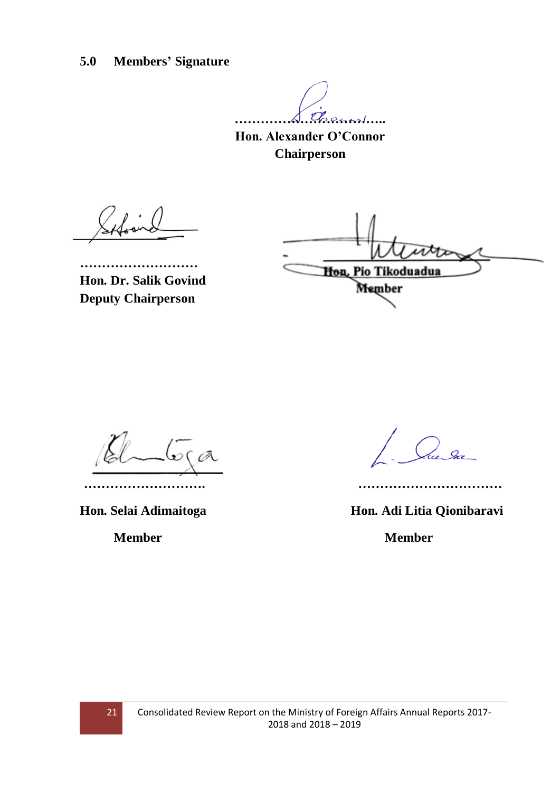<span id="page-20-0"></span>**5.0 Members' Signature**

**……………………………..**

**Hon. Alexander O'Connor Chairperson**

**……………………… Hon. Dr. Salik Govind Deputy Chairperson**

**Hon, Pio Tikoduadua** Member

 $\sqrt{\sigma}$ ca

Rue Sur

**………………………. ……………………………**

**Hon. Selai Adimaitoga Hon. Adi Litia Qionibaravi**

**Member Member**